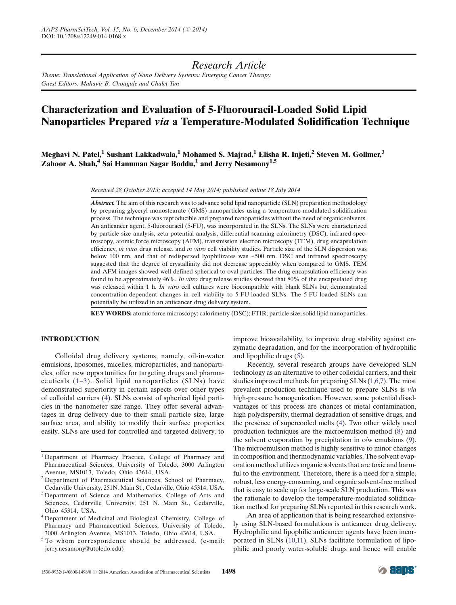# *Research Article*

*Theme: Translational Application of Nano Delivery Systems: Emerging Cancer Therapy Guest Editors: Mahavir B. Chougule and Chalet Tan*

# Characterization and Evaluation of 5-Fluorouracil-Loaded Solid Lipid Nanoparticles Prepared via a Temperature-Modulated Solidification Technique

Meghavi N. Patel,<sup>1</sup> Sushant Lakkadwala,<sup>1</sup> Mohamed S. Majrad,<sup>1</sup> Elisha R. Injeti,<sup>2</sup> Steven M. Gollmer,<sup>3</sup> Zahoor A. Shah,<sup>4</sup> Sai Hanuman Sagar Boddu,<sup>1</sup> and Jerry Nesamony<sup>1,5</sup>

*Received 28 October 2013; accepted 14 May 2014; published online 18 July 2014*

Abstract. The aim of this research was to advance solid lipid nanoparticle (SLN) preparation methodology by preparing glyceryl monostearate (GMS) nanoparticles using a temperature-modulated solidification process. The technique was reproducible and prepared nanoparticles without the need of organic solvents. An anticancer agent, 5-fluorouracil (5-FU), was incorporated in the SLNs. The SLNs were characterized by particle size analysis, zeta potential analysis, differential scanning calorimetry (DSC), infrared spectroscopy, atomic force microscopy (AFM), transmission electron microscopy (TEM), drug encapsulation efficiency, *in vitro* drug release, and *in vitro* cell viability studies. Particle size of the SLN dispersion was below 100 nm, and that of redispersed lyophilizates was ~500 nm. DSC and infrared spectroscopy suggested that the degree of crystallinity did not decrease appreciably when compared to GMS. TEM and AFM images showed well-defined spherical to oval particles. The drug encapsulation efficiency was found to be approximately 46%. *In vitro* drug release studies showed that 80% of the encapsulated drug was released within 1 h. *In vitro* cell cultures were biocompatible with blank SLNs but demonstrated concentration-dependent changes in cell viability to 5-FU-loaded SLNs. The 5-FU-loaded SLNs can potentially be utilized in an anticancer drug delivery system.

KEY WORDS: atomic force microscopy; calorimetry (DSC); FTIR; particle size; solid lipid nanoparticles.

# INTRODUCTION

Colloidal drug delivery systems, namely, oil-in-water emulsions, liposomes, micelles, microparticles, and nanoparticles, offer new opportunities for targeting drugs and pharmaceuticals ([1](#page-8-0)–[3](#page-9-0)). Solid lipid nanoparticles (SLNs) have demonstrated superiority in certain aspects over other types of colloidal carriers [\(4\)](#page-9-0). SLNs consist of spherical lipid particles in the nanometer size range. They offer several advantages in drug delivery due to their small particle size, large surface area, and ability to modify their surface properties easily. SLNs are used for controlled and targeted delivery, to

- <sup>1</sup> Department of Pharmacy Practice, College of Pharmacy and Pharmaceutical Sciences, University of Toledo, 3000 Arlington Avenue, MS1013, Toledo, Ohio 43614, USA.
- <sup>2</sup> Department of Pharmaceutical Sciences, School of Pharmacy, Cedarville University, 251N. Main St., Cedarville, Ohio 45314, USA.
- <sup>3</sup> Department of Science and Mathematics, College of Arts and Sciences, Cedarville University, 251 N. Main St., Cedarville, Ohio 45314, USA.
- <sup>4</sup> Department of Medicinal and Biological Chemistry, College of Pharmacy and Pharmaceutical Sciences, University of Toledo, 3000 Arlington Avenue, MS1013, Toledo, Ohio 43614, USA.
- <sup>5</sup> To whom correspondence should be addressed. (e-mail: jerry.nesamony@utoledo.edu)

improve bioavailability, to improve drug stability against enzymatic degradation, and for the incorporation of hydrophilic and lipophilic drugs ([5](#page-9-0)).

Recently, several research groups have developed SLN technology as an alternative to other colloidal carriers, and their studies improved methods for preparing SLNs ([1](#page-8-0)[,6](#page-9-0),[7\)](#page-9-0). The most prevalent production technique used to prepare SLNs is *via* high-pressure homogenization. However, some potential disadvantages of this process are chances of metal contamination, high polydispersity, thermal degradation of sensitive drugs, and the presence of supercooled melts ([4](#page-9-0)). Two other widely used production techniques are the microemulsion method ([8](#page-9-0)) and the solvent evaporation by precipitation in o/w emulsions [\(9](#page-9-0)). The microemulsion method is highly sensitive to minor changes in composition and thermodynamic variables. The solvent evaporation method utilizes organic solvents that are toxic and harmful to the environment. Therefore, there is a need for a simple, robust, less energy-consuming, and organic solvent-free method that is easy to scale up for large-scale SLN production. This was the rationale to develop the temperature-modulated solidification method for preparing SLNs reported in this research work.

An area of application that is being researched extensively using SLN-based formulations is anticancer drug delivery. Hydrophilic and lipophilic anticancer agents have been incorporated in SLNs ([10,11\)](#page-9-0). SLNs facilitate formulation of lipophilic and poorly water-soluble drugs and hence will enable

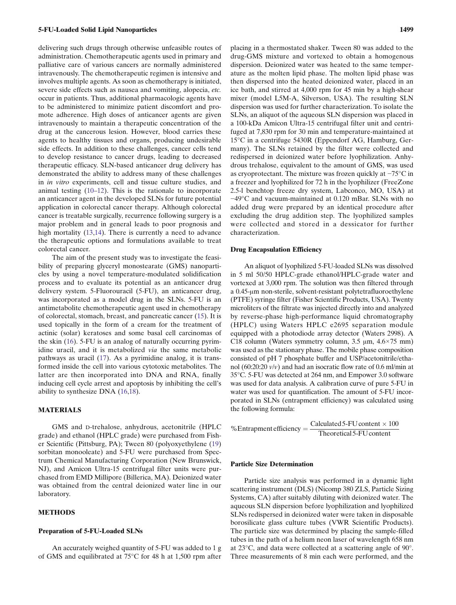<span id="page-1-0"></span>delivering such drugs through otherwise unfeasible routes of administration. Chemotherapeutic agents used in primary and palliative care of various cancers are normally administered intravenously. The chemotherapeutic regimen is intensive and involves multiple agents. As soon as chemotherapy is initiated, severe side effects such as nausea and vomiting, alopecia, *etc.* occur in patients. Thus, additional pharmacologic agents have to be administered to minimize patient discomfort and promote adherence. High doses of anticancer agents are given intravenously to maintain a therapeutic concentration of the drug at the cancerous lesion. However, blood carries these agents to healthy tissues and organs, producing undesirable side effects. In addition to these challenges, cancer cells tend to develop resistance to cancer drugs, leading to decreased therapeutic efficacy. SLN-based anticancer drug delivery has demonstrated the ability to address many of these challenges in *in vitro* experiments, cell and tissue culture studies, and animal testing ([10](#page-9-0)–[12](#page-9-0)). This is the rationale to incorporate an anticancer agent in the developed SLNs for future potential application in colorectal cancer therapy. Although colorectal cancer is treatable surgically, recurrence following surgery is a major problem and in general leads to poor prognosis and high mortality [\(13](#page-9-0),[14\)](#page-9-0). There is currently a need to advance the therapeutic options and formulations available to treat colorectal cancer.

The aim of the present study was to investigate the feasibility of preparing glyceryl monostearate (GMS) nanoparticles by using a novel temperature-modulated solidification process and to evaluate its potential as an anticancer drug delivery system. 5-Fluorouracil (5-FU), an anticancer drug, was incorporated as a model drug in the SLNs. 5-FU is an antimetabolite chemotherapeutic agent used in chemotherapy of colorectal, stomach, breast, and pancreatic cancer ([15\)](#page-9-0). It is used topically in the form of a cream for the treatment of actinic (solar) keratoses and some basal cell carcinomas of the skin [\(16\)](#page-9-0). 5-FU is an analog of naturally occurring pyrimidine uracil, and it is metabolized *via* the same metabolic pathways as uracil [\(17](#page-9-0)). As a pyrimidine analog, it is transformed inside the cell into various cytotoxic metabolites. The latter are then incorporated into DNA and RNA, finally inducing cell cycle arrest and apoptosis by inhibiting the cell's ability to synthesize DNA [\(16](#page-9-0),[18\)](#page-9-0).

# MATERIALS

GMS and D-trehalose, anhydrous, acetonitrile (HPLC grade) and ethanol (HPLC grade) were purchased from Fisher Scientific (Pittsburg, PA); Tween 80 (polyoxyethylene ([19\)](#page-9-0) sorbitan monooleate) and 5-FU were purchased from Spectrum Chemical Manufacturing Corporation (New Brunswick, NJ), and Amicon Ultra-15 centrifugal filter units were purchased from EMD Millipore (Billerica, MA). Deionized water was obtained from the central deionized water line in our laboratory.

# METHODS

#### Preparation of 5-FU-Loaded SLNs

An accurately weighed quantity of 5-FU was added to 1 g of GMS and equilibrated at 75°C for 48 h at 1,500 rpm after

placing in a thermostated shaker. Tween 80 was added to the drug-GMS mixture and vortexed to obtain a homogenous dispersion. Deionized water was heated to the same temperature as the molten lipid phase. The molten lipid phase was then dispersed into the heated deionized water, placed in an ice bath, and stirred at 4,000 rpm for 45 min by a high-shear mixer (model L5M-A, Silverson, USA). The resulting SLN dispersion was used for further characterization. To isolate the SLNs, an aliquot of the aqueous SLN dispersion was placed in a 100-kDa Amicon Ultra-15 centrifugal filter unit and centrifuged at 7,830 rpm for 30 min and temperature-maintained at 15°C in a centrifuge 5430R (Eppendorf AG, Hamburg, Germany). The SLNs retained by the filter were collected and redispersed in deionized water before lyophilization. Anhydrous trehalose, equivalent to the amount of GMS, was used as cryoprotectant. The mixture was frozen quickly at −75°C in a freezer and lyophilized for 72 h in the lyophilizer (FreeZone 2.5-l benchtop freeze dry system, Labconco, MO, USA) at −49°C and vacuum-maintained at 0.120 mBar. SLNs with no added drug were prepared by an identical procedure after excluding the drug addition step. The lyophilized samples were collected and stored in a dessicator for further characterization.

#### Drug Encapsulation Efficiency

An aliquot of lyophilized 5-FU-loaded SLNs was dissolved in 5 ml 50/50 HPLC-grade ethanol/HPLC-grade water and vortexed at 3,000 rpm. The solution was then filtered through a 0.45-μm non-sterile, solvent-resistant polytetrafluoroethylene (PTFE) syringe filter (Fisher Scientific Products, USA). Twenty microliters of the filtrate was injected directly into and analyzed by reverse-phase high-performance liquid chromatography (HPLC) using Waters HPLC e2695 separation module equipped with a photodiode array detector (Waters 2998). A C18 column (Waters symmetry column,  $3.5 \mu m$ ,  $4.6 \times 75 \mu m$ ) was used as the stationary phase. The mobile phase composition consisted of pH 7 phosphate buffer and USP/acetonitrile/ethanol (60:20:20 *v*/*v*) and had an isocratic flow rate of 0.6 ml/min at 35°C. 5-FU was detected at 264 nm, and Empower 3.0 software was used for data analysis. A calibration curve of pure 5-FU in water was used for quantification. The amount of 5-FU incorporated in SLNs (entrapment efficiency) was calculated using the following formula:

% Entrapment efficiency  $=\frac{\text{Calculateed 5-FU content} \times 100}{\text{Theoretical 5-FU content}}$ Theoretical 5‐FU content

# Particle Size Determination

Particle size analysis was performed in a dynamic light scattering instrument (DLS) (Nicomp 380 ZLS, Particle Sizing Systems, CA) after suitably diluting with deionized water. The aqueous SLN dispersion before lyophilization and lyophilized SLNs redispersed in deionized water were taken in disposable borosilicate glass culture tubes (VWR Scientific Products). The particle size was determined by placing the sample-filled tubes in the path of a helium neon laser of wavelength 658 nm at 23°C, and data were collected at a scattering angle of 90°. Three measurements of 8 min each were performed, and the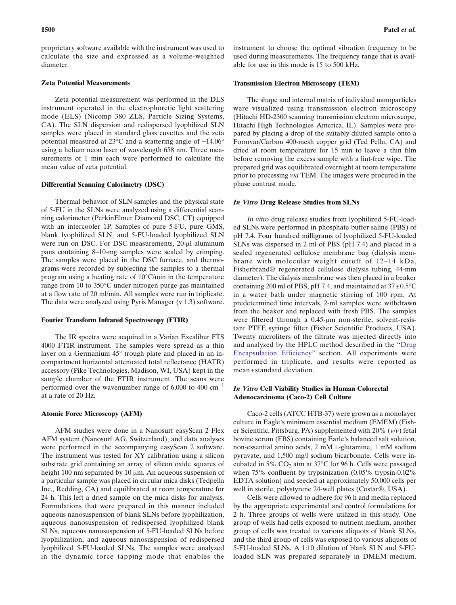proprietary software available with the instrument was used to calculate the size and expressed as a volume-weighted diameter.

# Zeta Potential Measurements

Zeta potential measurement was performed in the DLS instrument operated in the electrophoretic light scattering mode (ELS) (Nicomp 380 ZLS, Particle Sizing Systems, CA). The SLN dispersion and redispersed lyophilized SLN samples were placed in standard glass cuvettes and the zeta potential measured at 23°C and a scattering angle of −14.06° using a helium neon laser of wavelength 658 nm. Three measurements of 1 min each were performed to calculate the mean value of zeta potential.

#### Differential Scanning Calorimetry (DSC)

Thermal behavior of SLN samples and the physical state of 5-FU in the SLNs were analyzed using a differential scanning calorimeter (PerkinElmer Diamond DSC, CT) equipped with an intercooler 1P. Samples of pure 5-FU, pure GMS, blank lyophilized SLN, and 5-FU-loaded lyophilized SLN were run on DSC. For DSC measurements, 20-μl aluminum pans containing 8–10-mg samples were sealed by crimping. The samples were placed in the DSC furnace, and thermograms were recorded by subjecting the samples to a thermal program using a heating rate of 10°C/min in the temperature range from 10 to 350°C under nitrogen purge gas maintained at a flow rate of 20 ml/min. All samples were run in triplicate. The data were analyzed using Pyris Manager (v 1.3) software.

# Fourier Transform Infrared Spectroscopy (FTIR)

The IR spectra were acquired in a Varian Excalibur FTS 4000 FTIR instrument. The samples were spread as a thin layer on a Germanium 45° trough plate and placed in an incompartment horizontal attenuated total reflectance (HATR) accessory (Pike Technologies, Madison, WI, USA) kept in the sample chamber of the FTIR instrument. The scans were performed over the wavenumber range of 6,000 to 400 cm−<sup>1</sup> at a rate of 20 Hz.

#### Atomic Force Microscopy (AFM)

AFM studies were done in a Nanosurf easyScan 2 Flex AFM system (Nanosurf AG, Switzerland), and data analyses were performed in the accompanying easyScan 2 software. The instrument was tested for XY calibration using a silicon substrate grid containing an array of silicon oxide squares of height 100 nm separated by 10 μm. An aqueous suspension of a particular sample was placed in circular mica disks (Tedpella Inc., Redding, CA) and equilibrated at room temperature for 24 h. This left a dried sample on the mica disks for analysis. Formulations that were prepared in this manner included aqueous nanosuspension of blank SLNs before lyophilization, aqueous nanosuspension of redispersed lyophilized blank SLNs, aqueous nanosuspension of 5-FU-loaded SLNs before lyophilization, and aqueous nanosuspension of redispersed lyophilized 5-FU-loaded SLNs. The samples were analyzed in the dynamic force tapping mode that enables the instrument to choose the optimal vibration frequency to be used during measurements. The frequency range that is available for use in this mode is 15 to 500 kHz.

### Transmission Electron Microscopy (TEM)

The shape and internal matrix of individual nanoparticles were visualized using transmission electron microscopy (Hitachi HD-2300 scanning transmission electron microscope, Hitachi High Technologies America, IL). Samples were prepared by placing a drop of the suitably diluted sample onto a Formvar/Carbon 400-mesh copper grid (Ted Pella, CA) and dried at room temperature for 15 min to leave a thin film before removing the excess sample with a lint-free wipe. The prepared grid was equilibrated overnight at room temperature prior to processing *via* TEM. The images were procured in the phase contrast mode.

#### In Vitro Drug Release Studies from SLNs

*In vitro* drug release studies from lyophilized 5-FU-loaded SLNs were performed in phosphate buffer saline (PBS) of pH 7.4. Four hundred milligrams of lyophilized 5-FU-loaded SLNs was dispersed in 2 ml of PBS (pH 7.4) and placed in a sealed regenerated cellulose membrane bag (dialysis membrane with molecular weight cutoff of 12–14 kDa, Fisherbrand® regenerated cellulose dialysis tubing, 44-mm diameter). The dialysis membrane was then placed in a beaker containing 200 ml of PBS, pH 7.4, and maintained at  $37\pm0.5^{\circ}$ C in a water bath under magnetic stirring of 100 rpm. At predetermined time intervals, 2-ml samples were withdrawn from the beaker and replaced with fresh PBS. The samples were filtered through a 0.45-μm non-sterile, solvent-resistant PTFE syringe filter (Fisher Scientific Products, USA). Twenty microliters of the filtrate was injected directly into and analyzed by the HPLC method described in the "[Drug](#page-1-0) [Encapsulation Efficiency](#page-1-0)" section. All experiments were performed in triplicate, and results were reported as mean±standard deviation.

## In Vitro Cell Viability Studies in Human Colorectal Adenocarcinoma (Caco-2) Cell Culture

Caco-2 cells (ATCC HTB-37) were grown as a monolayer culture in Eagle's minimum essential medium (EMEM) (Fisher Scientific, Pittsburg, PA) supplemented with 20% (*v*/*v*) fetal bovine serum (FBS) containing Earle's balanced salt solution, non-essential amino acids, 2 mM L-glutamine, 1 mM sodium pyruvate, and 1,500 mg/l sodium bicarbonate. Cells were incubated in 5%  $CO<sub>2</sub>$  atm at 37 $\degree$ C for 96 h. Cells were passaged when 75% confluent by trypsinization (0.05% trypsin-0.02% EDTA solution) and seeded at approximately 50,000 cells per well in sterile, polystyrene 24-well plates (Costar®, USA).

Cells were allowed to adhere for 96 h and media replaced by the appropriate experimental and control formulations for 2 h. Three groups of wells were utilized in this study. One group of wells had cells exposed to nutrient medium, another group of cells was treated to various aliquots of blank SLNs, and the third group of cells was exposed to various aliquots of 5-FU-loaded SLNs. A 1:10 dilution of blank SLN and 5-FUloaded SLN was prepared separately in DMEM medium.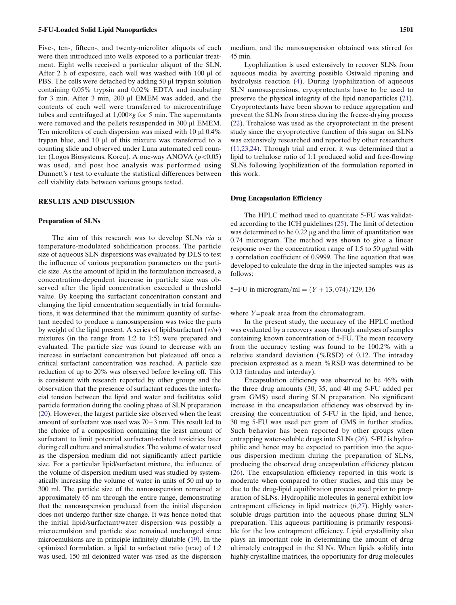Five-, ten-, fifteen-, and twenty-microliter aliquots of each were then introduced into wells exposed to a particular treatment. Eight wells received a particular aliquot of the SLN. After 2 h of exposure, each well was washed with 100 μl of PBS. The cells were detached by adding 50 μl trypsin solution containing 0.05% trypsin and 0.02% EDTA and incubating for 3 min. After 3 min, 200 μl EMEM was added, and the contents of each well were transferred to microcentrifuge tubes and centrifuged at 1,000×*g* for 5 min. The supernatants were removed and the pellets resuspended in 300 μl EMEM. Ten microliters of each dispersion was mixed with 10 μl 0.4% trypan blue, and 10 μl of this mixture was transferred to a counting slide and observed under Luna automated cell counter (Logos Biosystems, Korea). A one-way ANOVA (*p*<0.05) was used, and post hoc analysis was performed using Dunnett's *t* test to evaluate the statistical differences between cell viability data between various groups tested.

### RESULTS AND DISCUSSION

#### Preparation of SLNs

The aim of this research was to develop SLNs *via* a temperature-modulated solidification process. The particle size of aqueous SLN dispersions was evaluated by DLS to test the influence of various preparation parameters on the particle size. As the amount of lipid in the formulation increased, a concentration-dependent increase in particle size was observed after the lipid concentration exceeded a threshold value. By keeping the surfactant concentration constant and changing the lipid concentration sequentially in trial formulations, it was determined that the minimum quantity of surfactant needed to produce a nanosuspension was twice the parts by weight of the lipid present. A series of lipid/surfactant (*w*/*w*) mixtures (in the range from 1:2 to 1:5) were prepared and evaluated. The particle size was found to decrease with an increase in surfactant concentration but plateaued off once a critical surfactant concentration was reached. A particle size reduction of up to 20% was observed before leveling off. This is consistent with research reported by other groups and the observation that the presence of surfactant reduces the interfacial tension between the lipid and water and facilitates solid particle formation during the cooling phase of SLN preparation [\(20](#page-9-0)). However, the largest particle size observed when the least amount of surfactant was used was  $70\pm3$  nm. This result led to the choice of a composition containing the least amount of surfactant to limit potential surfactant-related toxicities later during cell culture and animal studies. The volume of water used as the dispersion medium did not significantly affect particle size. For a particular lipid/surfactant mixture, the influence of the volume of dispersion medium used was studied by systematically increasing the volume of water in units of 50 ml up to 300 ml. The particle size of the nanosuspension remained at approximately 65 nm through the entire range, demonstrating that the nanosuspension produced from the initial dispersion does not undergo further size change. It was hence noted that the initial lipid/surfactant/water dispersion was possibly a microemulsion and particle size remained unchanged since microemulsions are in principle infinitely dilutable ([19\)](#page-9-0). In the optimized formulation, a lipid to surfactant ratio (*w*:*w*) of 1:2 was used, 150 ml deionized water was used as the dispersion medium, and the nanosuspension obtained was stirred for 45 min.

Lyophilization is used extensively to recover SLNs from aqueous media by averting possible Ostwald ripening and hydrolysis reaction ([4\)](#page-9-0). During lyophilization of aqueous SLN nanosuspensions, cryoprotectants have to be used to preserve the physical integrity of the lipid nanoparticles ([21\)](#page-9-0). Cryoprotectants have been shown to reduce aggregation and prevent the SLNs from stress during the freeze-drying process ([22\)](#page-9-0). Trehalose was used as the cryoprotectant in the present study since the cryoprotective function of this sugar on SLNs was extensively researched and reported by other researchers ([11,23](#page-9-0),[24\)](#page-9-0). Through trial and error, it was determined that a lipid to trehalose ratio of 1:1 produced solid and free-flowing SLNs following lyophilization of the formulation reported in this work.

#### Drug Encapsulation Efficiency

The HPLC method used to quantitate 5-FU was validated according to the ICH guidelines [\(25](#page-9-0)). The limit of detection was determined to be 0.22 μg and the limit of quantitation was 0.74 microgram. The method was shown to give a linear response over the concentration range of 1.5 to 50 μg/ml with a correlation coefficient of 0.9999. The line equation that was developed to calculate the drug in the injected samples was as follows:

5−FU in microgram/ml =  $(Y + 13, 074) / 129, 136$ 

where *Y*=peak area from the chromatogram.

In the present study, the accuracy of the HPLC method was evaluated by a recovery assay through analyses of samples containing known concentration of 5-FU. The mean recovery from the accuracy testing was found to be 100.2% with a relative standard deviation (%RSD) of 0.12. The intraday precision expressed as a mean %RSD was determined to be 0.13 (intraday and interday).

Encapsulation efficiency was observed to be 46% with the three drug amounts (30, 35, and 40 mg 5-FU added per gram GMS) used during SLN preparation. No significant increase in the encapsulation efficiency was observed by increasing the concentration of 5-FU in the lipid, and hence, 30 mg 5-FU was used per gram of GMS in further studies. Such behavior has been reported by other groups when entrapping water-soluble drugs into SLNs [\(26](#page-9-0)). 5-FU is hydrophilic and hence may be expected to partition into the aqueous dispersion medium during the preparation of SLNs, producing the observed drug encapsulation efficiency plateau ([26\)](#page-9-0). The encapsulation efficiency reported in this work is moderate when compared to other studies, and this may be due to the drug-lipid equilibration process used prior to preparation of SLNs. Hydrophilic molecules in general exhibit low entrapment efficiency in lipid matrices [\(6,27\)](#page-9-0). Highly watersoluble drugs partition into the aqueous phase during SLN preparation. This aqueous partitioning is primarily responsible for the low entrapment efficiency. Lipid crystallinity also plays an important role in determining the amount of drug ultimately entrapped in the SLNs. When lipids solidify into highly crystalline matrices, the opportunity for drug molecules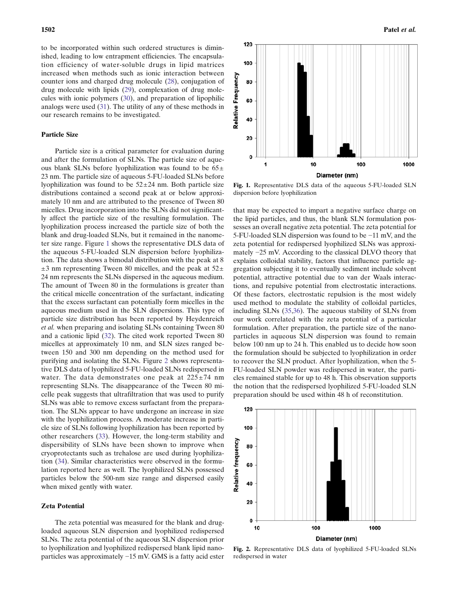to be incorporated within such ordered structures is diminished, leading to low entrapment efficiencies. The encapsulation efficiency of water-soluble drugs in lipid matrices increased when methods such as ionic interaction between counter ions and charged drug molecule ([28\)](#page-9-0), conjugation of drug molecule with lipids ([29\)](#page-9-0), complexation of drug molecules with ionic polymers [\(30](#page-9-0)), and preparation of lipophilic analogs were used ([31](#page-9-0)). The utility of any of these methods in our research remains to be investigated.

#### Particle Size

Particle size is a critical parameter for evaluation during and after the formulation of SLNs. The particle size of aqueous blank SLNs before lyophilization was found to be  $65\pm$ 23 nm. The particle size of aqueous 5-FU-loaded SLNs before lyophilization was found to be  $52\pm 24$  nm. Both particle size distributions contained a second peak at or below approximately 10 nm and are attributed to the presence of Tween 80 micelles. Drug incorporation into the SLNs did not significantly affect the particle size of the resulting formulation. The lyophilization process increased the particle size of both the blank and drug-loaded SLNs, but it remained in the nanometer size range. Figure 1 shows the representative DLS data of the aqueous 5-FU-loaded SLN dispersion before lyophilization. The data shows a bimodal distribution with the peak at 8  $\pm$ 3 nm representing Tween 80 micelles, and the peak at 52 $\pm$ 24 nm represents the SLNs dispersed in the aqueous medium. The amount of Tween 80 in the formulations is greater than the critical micelle concentration of the surfactant, indicating that the excess surfactant can potentially form micelles in the aqueous medium used in the SLN dispersions. This type of particle size distribution has been reported by Heydenreich *et al.* when preparing and isolating SLNs containing Tween 80 and a cationic lipid [\(32](#page-9-0)). The cited work reported Tween 80 micelles at approximately 10 nm, and SLN sizes ranged between 150 and 300 nm depending on the method used for purifying and isolating the SLNs. Figure 2 shows representative DLS data of lyophilized 5-FU-loaded SLNs redispersed in water. The data demonstrates one peak at  $225 \pm 74$  nm representing SLNs. The disappearance of the Tween 80 micelle peak suggests that ultrafiltration that was used to purify SLNs was able to remove excess surfactant from the preparation. The SLNs appear to have undergone an increase in size with the lyophilization process. A moderate increase in particle size of SLNs following lyophilization has been reported by other researchers ([33\)](#page-9-0). However, the long-term stability and dispersibility of SLNs have been shown to improve when cryoprotectants such as trehalose are used during lyophilization [\(34](#page-9-0)). Similar characteristics were observed in the formulation reported here as well. The lyophilized SLNs possessed particles below the 500-nm size range and dispersed easily when mixed gently with water.

#### Zeta Potential

The zeta potential was measured for the blank and drugloaded aqueous SLN dispersion and lyophilized redispersed SLNs. The zeta potential of the aqueous SLN dispersion prior to lyophilization and lyophilized redispersed blank lipid nanoparticles was approximately −15 mV. GMS is a fatty acid ester



Fig. 1. Representative DLS data of the aqueous 5-FU-loaded SLN dispersion before lyophilization

that may be expected to impart a negative surface charge on the lipid particles, and thus, the blank SLN formulation possesses an overall negative zeta potential. The zeta potential for 5-FU-loaded SLN dispersion was found to be −11 mV, and the zeta potential for redispersed lyophilized SLNs was approximately −25 mV. According to the classical DLVO theory that explains colloidal stability, factors that influence particle aggregation subjecting it to eventually sediment include solvent potential, attractive potential due to van der Waals interactions, and repulsive potential from electrostatic interactions. Of these factors, electrostatic repulsion is the most widely used method to modulate the stability of colloidal particles, including SLNs ([35,36](#page-9-0)). The aqueous stability of SLNs from our work correlated with the zeta potential of a particular formulation. After preparation, the particle size of the nanoparticles in aqueous SLN dispersion was found to remain below 100 nm up to 24 h. This enabled us to decide how soon the formulation should be subjected to lyophilization in order to recover the SLN product. After lyophilization, when the 5- FU-loaded SLN powder was redispersed in water, the particles remained stable for up to 48 h. This observation supports the notion that the redispersed lyophilized 5-FU-loaded SLN preparation should be used within 48 h of reconstitution.



Fig. 2. Representative DLS data of lyophilized 5-FU-loaded SLNs redispersed in water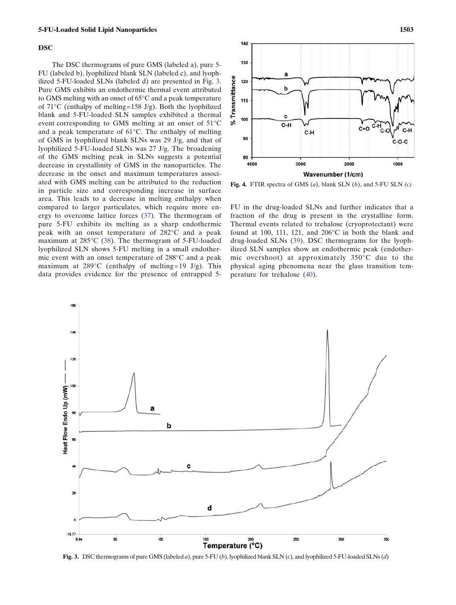#### <span id="page-5-0"></span>DSC

The DSC thermograms of pure GMS (labeled a), pure 5- FU (labeled b), lyophilized blank SLN (labeled c), and lyophilized 5-FU-loaded SLNs (labeled d) are presented in Fig. 3. Pure GMS exhibits an endothermic thermal event attributed to GMS melting with an onset of 65°C and a peak temperature of  $71^{\circ}$ C (enthalpy of melting=158 J/g). Both the lyophilized blank and 5-FU-loaded SLN samples exhibited a thermal event corresponding to GMS melting at an onset of 51°C and a peak temperature of 61°C. The enthalpy of melting of GMS in lyophilized blank SLNs was 29 J/g, and that of lyophilized 5-FU-loaded SLNs was 27 J/g. The broadening of the GMS melting peak in SLNs suggests a potential decrease in crystallinity of GMS in the nanoparticles. The decrease in the onset and maximum temperatures associated with GMS melting can be attributed to the reduction in particle size and corresponding increase in surface area. This leads to a decrease in melting enthalpy when compared to larger particulates, which require more energy to overcome lattice forces ([37](#page-9-0)). The thermogram of pure 5-FU exhibits its melting as a sharp endothermic peak with an onset temperature of 282°C and a peak maximum at 285°C ([38\)](#page-9-0). The thermogram of 5-FU-loaded lyophilized SLN shows 5-FU melting in a small endothermic event with an onset temperature of 288°C and a peak maximum at  $289^{\circ}$ C (enthalpy of melting=19 J/g). This data provides evidence for the presence of entrapped 5-



Fig. 4. FTIR spectra of GMS (*a*), blank SLN (*b*), and 5-FU SLN *(c)*

FU in the drug-loaded SLNs and further indicates that a fraction of the drug is present in the crystalline form. Thermal events related to trehalose (cryoprotectant) were found at 100, 111, 121, and 206°C in both the blank and drug-loaded SLNs ([39](#page-9-0)). DSC thermograms for the lyophilized SLN samples show an endothermic peak (endothermic overshoot) at approximately 350°C due to the physical aging phenomena near the glass transition temperature for trehalose [\(40\)](#page-9-0).



Fig. 3. DSC thermograms of pure GMS (labeled *a*), pure 5-FU (*b*), lyophilized blank SLN (*c*), and lyophilized 5-FU-loaded SLNs (*d*)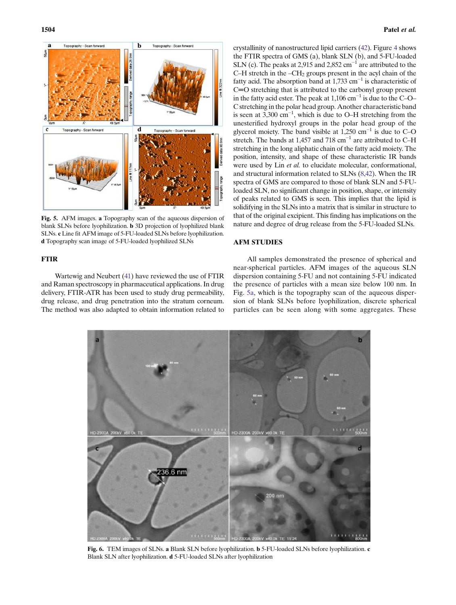<span id="page-6-0"></span>

Fig. 5. AFM images. a Topography scan of the aqueous dispersion of blank SLNs before lyophilization. b 3D projection of lyophilized blank SLNs. c Line fit AFM image of 5-FU-loaded SLNs before lyophilization. d Topography scan image of 5-FU-loaded lyophilized SLNs

# FTIR

Wartewig and Neubert ([41](#page-9-0)) have reviewed the use of FTIR and Raman spectroscopy in pharmaceutical applications. In drug delivery, FTIR-ATR has been used to study drug permeability, drug release, and drug penetration into the stratum corneum. The method was also adapted to obtain information related to crystallinity of nanostructured lipid carriers [\(42](#page-9-0)). Figure [4](#page-5-0) shows the FTIR spectra of GMS (a), blank SLN (b), and 5-FU-loaded SLN (c). The peaks at 2,915 and 2,852 cm<sup>-1</sup> are attributed to the C–H stretch in the  $-CH<sub>2</sub>$  groups present in the acyl chain of the fatty acid. The absorption band at 1,733 cm<sup>-1</sup> is characteristic of C=O stretching that is attributed to the carbonyl group present in the fatty acid ester. The peak at 1,106 cm<sup>-1</sup> is due to the C–O– C stretching in the polar head group. Another characteristic band is seen at  $3,300 \text{ cm}^{-1}$ , which is due to O–H stretching from the unesterified hydroxyl groups in the polar head group of the glycerol moiety. The band visible at  $1,250$  cm<sup>-1</sup> is due to C–O stretch. The bands at 1,457 and 718 cm<sup>-1</sup> are attributed to C–H stretching in the long aliphatic chain of the fatty acid moiety. The position, intensity, and shape of these characteristic IR bands were used by Lin *et al.* to elucidate molecular, conformational, and structural information related to SLNs [\(8](#page-9-0),[42](#page-9-0)). When the IR spectra of GMS are compared to those of blank SLN and 5-FUloaded SLN, no significant change in position, shape, or intensity of peaks related to GMS is seen. This implies that the lipid is solidifying in the SLNs into a matrix that is similar in structure to that of the original excipient. This finding has implications on the nature and degree of drug release from the 5-FU-loaded SLNs.

# AFM STUDIES

All samples demonstrated the presence of spherical and near-spherical particles. AFM images of the aqueous SLN dispersion containing 5-FU and not containing 5-FU indicated the presence of particles with a mean size below 100 nm. In Fig. 5a, which is the topography scan of the aqueous dispersion of blank SLNs before lyophilization, discrete spherical particles can be seen along with some aggregates. These



Fig. 6. TEM images of SLNs. a Blank SLN before lyophilization. b 5-FU-loaded SLNs before lyophilization. c Blank SLN after lyophilization. d 5-FU-loaded SLNs after lyophilization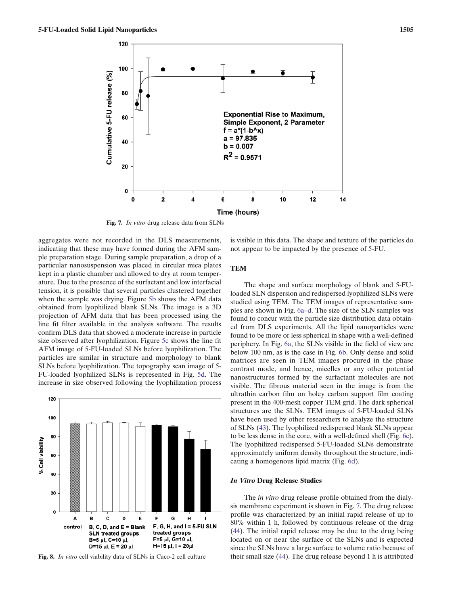<span id="page-7-0"></span>

Fig. 7. *In vitro* drug release data from SLNs

aggregates were not recorded in the DLS measurements, indicating that these may have formed during the AFM sample preparation stage. During sample preparation, a drop of a particular nanosuspension was placed in circular mica plates kept in a plastic chamber and allowed to dry at room temperature. Due to the presence of the surfactant and low interfacial tension, it is possible that several particles clustered together when the sample was drying. Figure [5b](#page-6-0) shows the AFM data obtained from lyophilized blank SLNs. The image is a 3D projection of AFM data that has been processed using the line fit filter available in the analysis software. The results confirm DLS data that showed a moderate increase in particle size observed after lyophilization. Figure [5c](#page-6-0) shows the line fit AFM image of 5-FU-loaded SLNs before lyophilization. The particles are similar in structure and morphology to blank SLNs before lyophilization. The topography scan image of 5- FU-loaded lyophilized SLNs is represented in Fig. [5d](#page-6-0). The increase in size observed following the lyophilization process



Fig. 8. *In vitro* cell viability data of SLNs in Caco-2 cell culture

is visible in this data. The shape and texture of the particles do not appear to be impacted by the presence of 5-FU.

# **TEM**

The shape and surface morphology of blank and 5-FUloaded SLN dispersion and redispersed lyophilized SLNs were studied using TEM. The TEM images of representative samples are shown in Fig. [6a](#page-6-0)–d. The size of the SLN samples was found to concur with the particle size distribution data obtained from DLS experiments. All the lipid nanoparticles were found to be more or less spherical in shape with a well-defined periphery. In Fig. [6a](#page-6-0), the SLNs visible in the field of view are below 100 nm, as is the case in Fig. [6b](#page-6-0). Only dense and solid matrices are seen in TEM images procured in the phase contrast mode, and hence, micelles or any other potential nanostructures formed by the surfactant molecules are not visible. The fibrous material seen in the image is from the ultrathin carbon film on holey carbon support film coating present in the 400-mesh copper TEM grid. The dark spherical structures are the SLNs. TEM images of 5-FU-loaded SLNs have been used by other researchers to analyze the structure of SLNs ([43\)](#page-9-0). The lyophilized redispersed blank SLNs appear to be less dense in the core, with a well-defined shell (Fig. [6c\)](#page-6-0). The lyophilized redispersed 5-FU-loaded SLNs demonstrate approximately uniform density throughout the structure, indicating a homogenous lipid matrix (Fig. [6d](#page-6-0)).

#### In Vitro Drug Release Studies

The *in vitro* drug release profile obtained from the dialysis membrane experiment is shown in Fig. 7. The drug release profile was characterized by an initial rapid release of up to 80% within 1 h, followed by continuous release of the drug ([44\)](#page-9-0). The initial rapid release may be due to the drug being located on or near the surface of the SLNs and is expected since the SLNs have a large surface to volume ratio because of their small size [\(44](#page-9-0)). The drug release beyond 1 h is attributed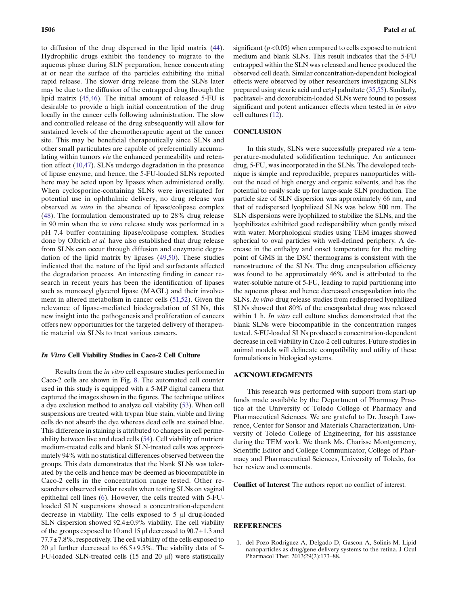<span id="page-8-0"></span>to diffusion of the drug dispersed in the lipid matrix [\(44](#page-9-0)). Hydrophilic drugs exhibit the tendency to migrate to the aqueous phase during SLN preparation, hence concentrating at or near the surface of the particles exhibiting the initial rapid release. The slower drug release from the SLNs later may be due to the diffusion of the entrapped drug through the lipid matrix [\(45,46](#page-9-0)). The initial amount of released 5-FU is desirable to provide a high initial concentration of the drug locally in the cancer cells following administration. The slow and controlled release of the drug subsequently will allow for sustained levels of the chemotherapeutic agent at the cancer site. This may be beneficial therapeutically since SLNs and other small particulates are capable of preferentially accumulating within tumors *via* the enhanced permeability and retention effect ([10,](#page-9-0)[47\)](#page-10-0). SLNs undergo degradation in the presence of lipase enzyme, and hence, the 5-FU-loaded SLNs reported here may be acted upon by lipases when administered orally. When cyclosporine-containing SLNs were investigated for potential use in ophthalmic delivery, no drug release was observed *in vitro* in the absence of lipase/colipase complex [\(48](#page-10-0)). The formulation demonstrated up to 28% drug release in 90 min when the *in vitro* release study was performed in a pH 7.4 buffer containing lipase/colipase complex. Studies done by Olbrich *et al.* have also established that drug release from SLNs can occur through diffusion and enzymatic degradation of the lipid matrix by lipases ([49,50\)](#page-10-0). These studies indicated that the nature of the lipid and surfactants affected the degradation process. An interesting finding in cancer research in recent years has been the identification of lipases such as monoacyl glycerol lipase (MAGL) and their involvement in altered metabolism in cancer cells [\(51](#page-10-0),[52\)](#page-10-0). Given the relevance of lipase-mediated biodegradation of SLNs, this new insight into the pathogenesis and proliferation of cancers offers new opportunities for the targeted delivery of therapeutic material *via* SLNs to treat various cancers.

# In Vitro Cell Viability Studies in Caco-2 Cell Culture

Results from the *in vitro* cell exposure studies performed in Caco-2 cells are shown in Fig. [8](#page-7-0). The automated cell counter used in this study is equipped with a 5-MP digital camera that captured the images shown in the figures. The technique utilizes a dye exclusion method to analyze cell viability ([53\)](#page-10-0). When cell suspensions are treated with trypan blue stain, viable and living cells do not absorb the dye whereas dead cells are stained blue. This difference in staining is attributed to changes in cell permeability between live and dead cells [\(54\)](#page-10-0). Cell viability of nutrient medium-treated cells and blank SLN-treated cells was approximately 94% with no statistical differences observed between the groups. This data demonstrates that the blank SLNs was tolerated by the cells and hence may be deemed as biocompatible in Caco-2 cells in the concentration range tested. Other researchers observed similar results when testing SLNs on vaginal epithelial cell lines [\(6\)](#page-9-0). However, the cells treated with 5-FUloaded SLN suspensions showed a concentration-dependent decrease in viability. The cells exposed to 5 μl drug-loaded SLN dispersion showed  $92.4 \pm 0.9\%$  viability. The cell viability of the groups exposed to 10 and 15  $\mu$ l decreased to 90.7 $\pm$ 1.3 and  $77.7 \pm 7.8\%$ , respectively. The cell viability of the cells exposed to 20 μl further decreased to  $66.5 \pm 9.5\%$ . The viability data of 5-FU-loaded SLN-treated cells (15 and 20 μl) were statistically

significant  $(p<0.05)$  when compared to cells exposed to nutrient medium and blank SLNs. This result indicates that the 5-FU entrapped within the SLN was released and hence produced the observed cell death. Similar concentration-dependent biological effects were observed by other researchers investigating SLNs prepared using stearic acid and cetyl palmitate ([35,](#page-9-0)[55](#page-10-0)). Similarly, paclitaxel- and doxorubicin-loaded SLNs were found to possess significant and potent anticancer effects when tested in *in vitro* cell cultures ([12](#page-9-0)).

# **CONCLUSION**

In this study, SLNs were successfully prepared *via* a temperature-modulated solidification technique. An anticancer drug, 5-FU, was incorporated in the SLNs. The developed technique is simple and reproducible, prepares nanoparticles without the need of high energy and organic solvents, and has the potential to easily scale up for large-scale SLN production. The particle size of SLN dispersion was approximately 66 nm, and that of redispersed lyophilized SLNs was below 500 nm. The SLN dispersions were lyophilized to stabilize the SLNs, and the lyophilizates exhibited good redispersibility when gently mixed with water. Morphological studies using TEM images showed spherical to oval particles with well-defined periphery. A decrease in the enthalpy and onset temperature for the melting point of GMS in the DSC thermograms is consistent with the nanostructure of the SLNs. The drug encapsulation efficiency was found to be approximately 46% and is attributed to the water-soluble nature of 5-FU, leading to rapid partitioning into the aqueous phase and hence decreased encapsulation into the SLNs. *In vitro* drug release studies from redispersed lyophilized SLNs showed that 80% of the encapsulated drug was released within 1 h. *In vitro* cell culture studies demonstrated that the blank SLNs were biocompatible in the concentration ranges tested. 5-FU-loaded SLNs produced a concentration-dependent decrease in cell viability in Caco-2 cell cultures. Future studies in animal models will delineate compatibility and utility of these formulations in biological systems.

# ACKNOWLEDGMENTS

This research was performed with support from start-up funds made available by the Department of Pharmacy Practice at the University of Toledo College of Pharmacy and Pharmaceutical Sciences. We are grateful to Dr. Joseph Lawrence, Center for Sensor and Materials Characterization, University of Toledo College of Engineering, for his assistance during the TEM work. We thank Ms. Charisse Montgomerry, Scientific Editor and College Communicator, College of Pharmacy and Pharmaceutical Sciences, University of Toledo, for her review and comments.

Conflict of Interest The authors report no conflict of interest.

### REFERENCES

1. del Pozo-Rodriguez A, Delgado D, Gascon A, Solinis M. Lipid nanoparticles as drug/gene delivery systems to the retina. J Ocul Pharmacol Ther. 2013;29(2):173–88.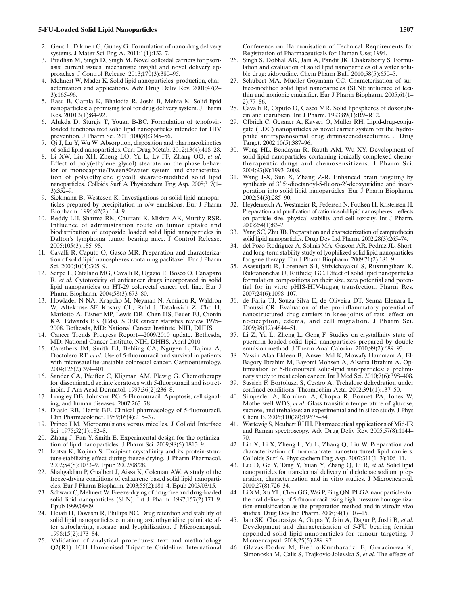- <span id="page-9-0"></span>2. Genc L, Dikmen G, Guney G. Formulation of nano drug delivery systems. J Mater Sci Eng A. 2011;1(1):132–7.
- 3. Pradhan M, Singh D, Singh M. Novel colloidal carriers for psoriasis: current issues, mechanistic insight and novel delivery approaches. J Control Release. 2013;170(3):380–95.
- 4. Mehnert W, Mäder K. Solid lipid nanoparticles: production, characterization and applications. Adv Drug Deliv Rev. 2001;47(2– 3):165–96.
- 5. Basu B, Garala K, Bhalodia R, Joshi B, Mehta K. Solid lipid nanoparticles: a promising tool for drug delivery system. J Pharm Res. 2010;3(1):84–92.
- 6. Alukda D, Sturgis T, Youan B-BC. Formulation of tenofovirloaded functionalized solid lipid nanoparticles intended for HIV prevention. J Pharm Sci. 2011;100(8):3345–56.
- 7. Qi J, Lu Y, Wu W. Absorption, disposition and pharmacokinetics of solid lipid nanoparticles. Curr Drug Metab. 2012;13(4):418–28.
- 8. Li XW, Lin XH, Zheng LQ, Yu L, Lv FF, Zhang QQ, *et al*. Effect of poly(ethylene glycol) stearate on the phase behavior of monocaprate/Tween80/water system and characterization of poly(ethylene glycol) stearate-modified solid lipid nanoparticles. Colloids Surf A Physicochem Eng Asp. 2008;317(1– 3):352–9.
- 9. Siekmann B, Westesen K. Investigations on solid lipid nanoparticles prepared by precipitation in o/w emulsions. Eur J Pharm Biopharm. 1996;42(2):104–9.
- 10. Reddy LH, Sharma RK, Chuttani K, Mishra AK, Murthy RSR. Influence of administration route on tumor uptake and biodistribution of etoposide loaded solid lipid nanoparticles in Dalton's lymphoma tumor bearing mice. J Control Release. 2005;105(3):185–98.
- 11. Cavalli R, Caputo O, Gasco MR. Preparation and characterization of solid lipid nanospheres containing paclitaxel. Eur J Pharm Sci. 2000;10(4):305-9.
- 12. Serpe L, Catalano MG, Cavalli R, Ugazio E, Bosco O, Canaparo R, *et al*. Cytotoxicity of anticancer drugs incorporated in solid lipid nanoparticles on HT-29 colorectal cancer cell line. Eur J Pharm Biopharm. 2004;58(3):673–80.
- 13. Howlader N NA, Krapcho M, Neyman N, Aminou R, Waldron W, Altekruse SF, Kosary CL, Ruhl J, Tatalovich Z, Cho H, Mariotto A, Eisner MP, Lewis DR, Chen HS, Feuer EJ, Cronin KA, Edwards BK (Eds). SEER cancer statistics review 1975– 2008. Bethesda, MD: National Cancer Institute, NIH, DHHS.
- 14. Cancer Trends Progress Report—2009/2010 update. Bethesda, MD: National Cancer Institute, NIH, DHHS, April 2010.
- 15. Carethers JM, Smith EJ, Behling CA, Nguyen L, Tajima A, Doctolero RT, *et al*. Use of 5-fluorouracil and survival in patients with microsatellite-unstable colorectal cancer. Gastroenterology. 2004;126(2):394–401.
- 16. Sander CA, Pfeiffer C, Kligman AM, Plewig G. Chemotherapy for disseminated actinic keratoses with 5-fluorouracil and isotretinoin. J Am Acad Dermatol. 1997;36(2):236–8.
- 17. Longley DB, Johnston PG. 5-Fluorouracil. Apoptosis, cell signaling, and human diseases. 2007:263–78.
- 18. Diasio RB, Harris BE. Clinical pharmacology of 5-fluorouracil. Clin Pharmacokinet. 1989;16(4):215–37.
- 19. Prince LM. Microemulsions versus micelles. J Colloid Interface Sci. 1975;52(1):182–8.
- 20. Zhang J, Fan Y, Smith E. Experimental design for the optimization of lipid nanoparticles. J Pharm Sci. 2009;98(5):1813–9.
- 21. Izutsu K, Kojima S. Excipient crystallinity and its protein-structure-stabilizing effect during freeze-drying. J Pharm Pharmacol. 2002;54(8):1033–9. Epub 2002/08/28.
- 22. Shahgaldian P, Gualbert J, Aissa K, Coleman AW. A study of the freeze-drying conditions of calixarene based solid lipid nanoparticles. Eur J Pharm Biopharm. 2003;55(2):181–4. Epub 2003/03/15.
- 23. Schwarz C, Mehnert W. Freeze-drying of drug-free and drug-loaded solid lipid nanoparticles (SLN). Int J Pharm. 1997;157(2):171–9. Epub 1999/09/09.
- 24. Heiati H, Tawashi R, Phillips NC. Drug retention and stability of solid lipid nanoparticles containing azidothymidine palmitate after autoclaving, storage and lyophilization. J Microencapsul. 1998;15(2):173–84.
- 25. Validation of analytical procedures: text and methodology Q2(R1). ICH Harmonised Tripartite Guideline: International

Conference on Harmonisation of Technical Requirements for Registration of Pharmaceuticals for Human Use; 1994.

- 26. Singh S, Dobhal AK, Jain A, Pandit JK, Chakraborty S. Formulation and evaluation of solid lipid nanoparticles of a water soluble drug: zidovudine. Chem Pharm Bull. 2010;58(5):650–5.
- 27. Schubert MA, Mueller-Goymann CC. Characterisation of surface-modified solid lipid nanoparticles (SLN): influence of lecithin and nonionic emulsifier. Eur J Pharm Biopharm. 2005;61(1– 2):77–86.
- 28. Cavalli R, Caputo O, Gasco MR. Solid lipospheres of doxorubicin and idarubicin. Int J Pharm. 1993;89(1):R9–R12.
- 29. Olbrich C, Gessner A, Kayser O, Muller RH. Lipid-drug-conjugate (LDC) nanoparticles as novel carrier system for the hydrophilic antitrypanosomal drug diminazenediaceturate. J Drug Target. 2002;10(5):387–96.
- 30. Wong HL, Bendayan R, Rauth AM, Wu XY. Development of solid lipid nanoparticles containing ionically complexed chemotherapeutic drugs and chemosensitizers. J Pharm Sci. 2004;93(8):1993–2008.
- 31. Wang J-X, Sun X, Zhang Z-R. Enhanced brain targeting by synthesis of  $3'$ , 5′-dioctanoyl-5-fluoro-2′-deoxyuridine and incorporation into solid lipid nanoparticles. Eur J Pharm Biopharm. 2002;54(3):285–90.
- 32. Heydenreich A, Westmeier R, Pedersen N, Poulsen H, Kristensen H. Preparation and purification of cationic solid lipid nanospheres—effects on particle size, physical stability and cell toxicity. Int J Pharm. 2003;254(1):83–7.
- 33. Yang SC, Zhu JB. Preparation and characterization of camptothecin solid lipid nanoparticles. Drug Dev Ind Pharm. 2002;28(3):265–74.
- del Pozo-Rodriguez A, Solinis MA, Gascon AR, Pedraz JL. Shortand long-term stability study of lyophilized solid lipid nanoparticles for gene therapy. Eur J Pharm Biopharm. 2009;71(2):181–9.
- 35. Asasutjarit R, Lorenzen S-I, Sirivichayakul S, Ruxrungtham K, Ruktanonchai U, Ritthidej GC. Effect of solid lipid nanoparticles formulation compositions on their size, zeta potential and potential for in vitro pHIS-HIV-hugag transfection. Pharm Res. 2007;24(6):1098–107.
- 36. de Faria TJ, Souza-Silva E, de Oliveira DT, Senna Elenara L, Tonussi CR. Evaluation of the pro-inflammatory potential of nanostructured drug carriers in knee-joints of rats: effect on nociception, edema, and cell migration. J Pharm Sci. 2009;98(12):4844–51.
- 37. Li Z, Yu L, Zheng L, Geng F. Studies on crystallinity state of puerarin loaded solid lipid nanoparticles prepared by double emulsion method. J Therm Anal Calorim. 2010;99(2):689–93.
- 38. Yassin Alaa Eldeen B, Anwer Md K, Mowafy Hammam A, El-Bagory Ibrahim M, Bayomi Mohsen A, Alsarra Ibrahim A. Optimization of 5-fluorouracil solid-lipid nanoparticles: a preliminary study to treat colon cancer. Int J Med Sci. 2010;7(6):398–408.
- Sussich F, Bortoluzzi S, Cesàro A. Trehalose dehydration under confined conditions. Thermochim Acta. 2002;391(1):137–50.
- 40. Simperler A, Kornherr A, Chopra R, Bonnet PA, Jones W, Motherwell WDS, *et al*. Glass transition temperature of glucose, sucrose, and trehalose: an experimental and in silico study. J Phys Chem B. 2006;110(39):19678–84.
- 41. Wartewig S, Neubert RHH. Pharmaceutical applications of Mid-IR and Raman spectroscopy. Adv Drug Deliv Rev. 2005;57(8):1144– 70.
- 42. Lin X, Li X, Zheng L, Yu L, Zhang Q, Liu W. Preparation and characterization of monocaprate nanostructured lipid carriers. Colloids Surf A Physicochem Eng Asp. 2007;311(1–3):106–11.
- 43. Liu D, Ge Y, Tang Y, Yuan Y, Zhang Q, Li R, *et al*. Solid lipid nanoparticles for transdermal delivery of diclofenac sodium: preparation, characterization and in vitro studies. J Microencapsul. 2010;27(8):726–34.
- 44. Li XM, Xu YL, Chen GG, Wei P, Ping QN. PLGA nanoparticles for the oral delivery of 5-fluorouracil using high pressure homogenization-emulsification as the preparation method and in vitro/in vivo studies. Drug Dev Ind Pharm. 2008;34(1):107–15.
- 45. Jain SK, Chaurasiya A, Gupta Y, Jain A, Dagur P, Joshi B, *et al*. Development and characterization of 5-FU bearing ferritin appended solid lipid nanoparticles for tumour targeting. J Microencapsul. 2008;25(5):289–97.
- 46. Glavas-Dodov M, Fredro-Kumbaradzi E, Goracinova K, Simonoska M, Calis S, Trajkovic-Jolevska S, *et al*. The effects of